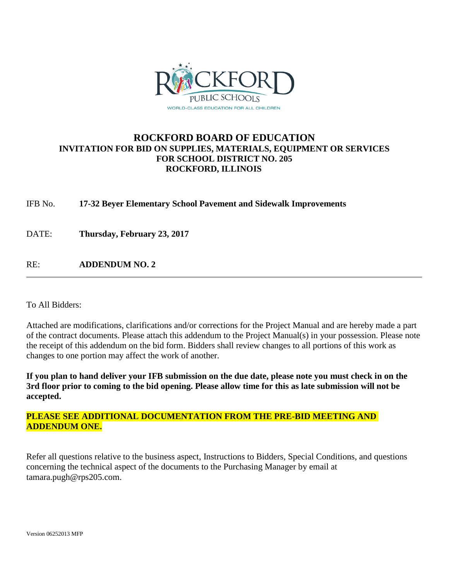

### **ROCKFORD BOARD OF EDUCATION INVITATION FOR BID ON SUPPLIES, MATERIALS, EQUIPMENT OR SERVICES FOR SCHOOL DISTRICT NO. 205 ROCKFORD, ILLINOIS**

IFB No. **17-32 Beyer Elementary School Pavement and Sidewalk Improvements**

DATE: **Thursday, February 23, 2017**

RE: **ADDENDUM NO. 2**

To All Bidders:

Attached are modifications, clarifications and/or corrections for the Project Manual and are hereby made a part of the contract documents. Please attach this addendum to the Project Manual(s) in your possession. Please note the receipt of this addendum on the bid form. Bidders shall review changes to all portions of this work as changes to one portion may affect the work of another.

**If you plan to hand deliver your IFB submission on the due date, please note you must check in on the 3rd floor prior to coming to the bid opening. Please allow time for this as late submission will not be accepted.**

### **PLEASE SEE ADDITIONAL DOCUMENTATION FROM THE PRE-BID MEETING AND ADDENDUM ONE.**

Refer all questions relative to the business aspect, Instructions to Bidders, Special Conditions, and questions concerning the technical aspect of the documents to the Purchasing Manager by email at tamara.pugh@rps205.com.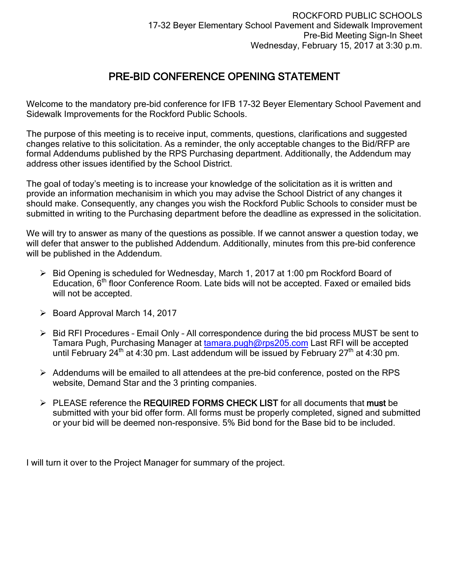## PRE-BID CONFERENCE OPENING STATEMENT

Welcome to the mandatory pre-bid conference for IFB 17-32 Beyer Elementary School Pavement and Sidewalk Improvements for the Rockford Public Schools.

The purpose of this meeting is to receive input, comments, questions, clarifications and suggested changes relative to this solicitation. As a reminder, the only acceptable changes to the Bid/RFP are formal Addendums published by the RPS Purchasing department. Additionally, the Addendum may address other issues identified by the School District.

The goal of today's meeting is to increase your knowledge of the solicitation as it is written and provide an information mechanisim in which you may advise the School District of any changes it should make. Consequently, any changes you wish the Rockford Public Schools to consider must be submitted in writing to the Purchasing department before the deadline as expressed in the solicitation.

We will try to answer as many of the questions as possible. If we cannot answer a question today, we will defer that answer to the published Addendum. Additionally, minutes from this pre-bid conference will be published in the Addendum.

- $\triangleright$  Bid Opening is scheduled for Wednesday, March 1, 2017 at 1:00 pm Rockford Board of Education, 6th floor Conference Room. Late bids will not be accepted. Faxed or emailed bids will not be accepted.
- $\triangleright$  Board Approval March 14, 2017
- $\triangleright$  Bid RFI Procedures Email Only All correspondence during the bid process MUST be sent to Tamara Pugh, Purchasing Manager at [tamara.pugh@rps205.com](mailto:tamara.pugh@rps205.com) Last RFI will be accepted until February 24<sup>th</sup> at 4:30 pm. Last addendum will be issued by February 27<sup>th</sup> at 4:30 pm.
- $\triangleright$  Addendums will be emailed to all attendees at the pre-bid conference, posted on the RPS website, Demand Star and the 3 printing companies.
- $\triangleright$  PLEASE reference the REQUIRED FORMS CHECK LIST for all documents that must be submitted with your bid offer form. All forms must be properly completed, signed and submitted or your bid will be deemed non-responsive. 5% Bid bond for the Base bid to be included.

I will turn it over to the Project Manager for summary of the project.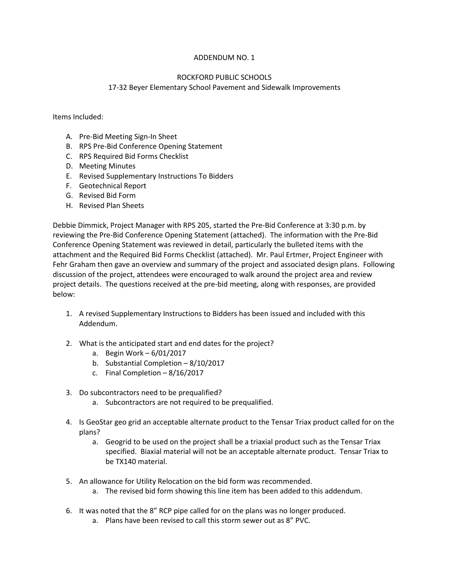#### ADDENDUM NO. 1

#### ROCKFORD PUBLIC SCHOOLS

#### 17-32 Beyer Elementary School Pavement and Sidewalk Improvements

Items Included:

- A. Pre-Bid Meeting Sign-In Sheet
- B. RPS Pre-Bid Conference Opening Statement
- C. RPS Required Bid Forms Checklist
- D. Meeting Minutes
- E. Revised Supplementary Instructions To Bidders
- F. Geotechnical Report
- G. Revised Bid Form
- H. Revised Plan Sheets

Debbie Dimmick, Project Manager with RPS 205, started the Pre-Bid Conference at 3:30 p.m. by reviewing the Pre-Bid Conference Opening Statement (attached). The information with the Pre-Bid Conference Opening Statement was reviewed in detail, particularly the bulleted items with the attachment and the Required Bid Forms Checklist (attached). Mr. Paul Ertmer, Project Engineer with Fehr Graham then gave an overview and summary of the project and associated design plans. Following discussion of the project, attendees were encouraged to walk around the project area and review project details. The questions received at the pre-bid meeting, along with responses, are provided below:

- 1. A revised Supplementary Instructions to Bidders has been issued and included with this Addendum.
- 2. What is the anticipated start and end dates for the project?
	- a. Begin Work 6/01/2017
	- b. Substantial Completion 8/10/2017
	- c. Final Completion 8/16/2017
- 3. Do subcontractors need to be prequalified?
	- a. Subcontractors are not required to be prequalified.
- 4. Is GeoStar geo grid an acceptable alternate product to the Tensar Triax product called for on the plans?
	- a. Geogrid to be used on the project shall be a triaxial product such as the Tensar Triax specified. Biaxial material will not be an acceptable alternate product. Tensar Triax to be TX140 material.
- 5. An allowance for Utility Relocation on the bid form was recommended.
	- a. The revised bid form showing this line item has been added to this addendum.
- 6. It was noted that the 8" RCP pipe called for on the plans was no longer produced.
	- a. Plans have been revised to call this storm sewer out as 8" PVC.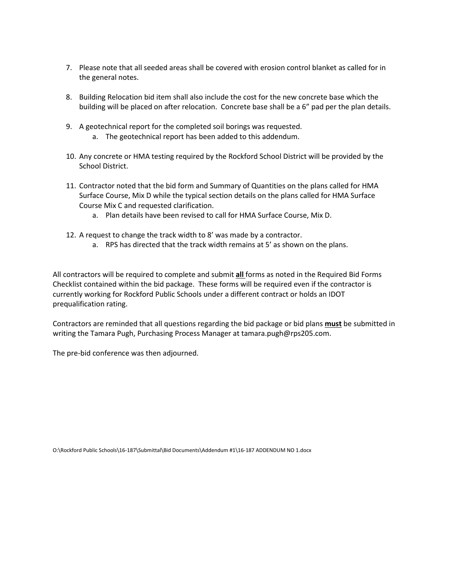- 7. Please note that all seeded areas shall be covered with erosion control blanket as called for in the general notes.
- 8. Building Relocation bid item shall also include the cost for the new concrete base which the building will be placed on after relocation. Concrete base shall be a 6" pad per the plan details.
- 9. A geotechnical report for the completed soil borings was requested.
	- a. The geotechnical report has been added to this addendum.
- 10. Any concrete or HMA testing required by the Rockford School District will be provided by the School District.
- 11. Contractor noted that the bid form and Summary of Quantities on the plans called for HMA Surface Course, Mix D while the typical section details on the plans called for HMA Surface Course Mix C and requested clarification.
	- a. Plan details have been revised to call for HMA Surface Course, Mix D.
- 12. A request to change the track width to 8' was made by a contractor.
	- a. RPS has directed that the track width remains at 5' as shown on the plans.

All contractors will be required to complete and submit **all** forms as noted in the Required Bid Forms Checklist contained within the bid package. These forms will be required even if the contractor is currently working for Rockford Public Schools under a different contract or holds an IDOT prequalification rating.

Contractors are reminded that all questions regarding the bid package or bid plans **must** be submitted in writing the Tamara Pugh, Purchasing Process Manager at tamara.pugh@rps205.com.

The pre-bid conference was then adjourned.

O:\Rockford Public Schools\16-187\Submittal\Bid Documents\Addendum #1\16-187 ADDENDUM NO 1.docx